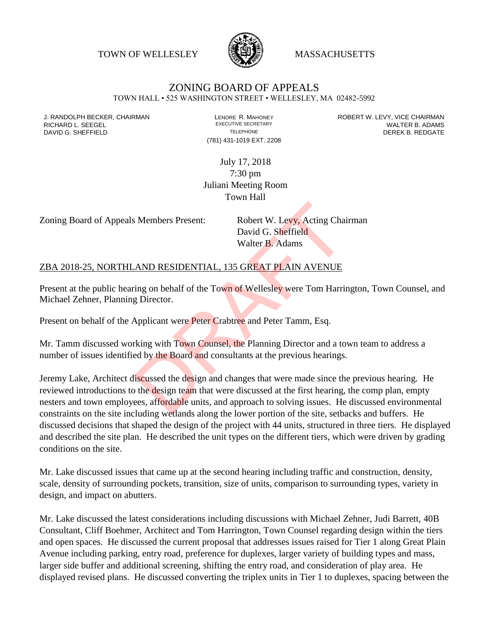TOWN OF WELLESLEY **WASSACHUSETTS** 



## ZONING BOARD OF APPEALS

TOWN HALL • 525 WASHINGTON STREET • WELLESLEY, MA 02482-5992

(781) 431-1019 EXT. 2208

J. RANDOLPH BECKER, CHAIRMAN LAND LENORE R. MAHONEY LEWING AN ANDERT W. LEVY, VICE CHAIRMAN LAND LENORE R. MAHONEY<br>RICHARD L. SFFGFI LADAMS RICHARD L. SEEGEL **EXECUTIVE SECRETARY CONTROLL SEEGETARY** WALTER B. ADAMS DAVID G. SHEFFIELD **TELEPHONE** TELEPHONE TELEPHONE **TELEPHONE DEREK B. REDGATE** 

> July 17, 2018 7:30 pm Juliani Meeting Room Town Hall

Zoning Board of Appeals Members Present: Robert W. Levy, Acting Chairman

David G. Sheffield Walter B. Adams

## ZBA 2018-25, NORTHLAND RESIDENTIAL, 135 GREAT PLAIN AVENUE

Present at the public hearing on behalf of the Town of Wellesley were Tom Harrington, Town Counsel, and Michael Zehner, Planning Director.

Present on behalf of the Applicant were Peter Crabtree and Peter Tamm, Esq.

Mr. Tamm discussed working with Town Counsel, the Planning Director and a town team to address a number of issues identified by the Board and consultants at the previous hearings.

Jeremy Lake, Architect discussed the design and changes that were made since the previous hearing. He reviewed introductions to the design team that were discussed at the first hearing, the comp plan, empty nesters and town employees, affordable units, and approach to solving issues. He discussed environmental constraints on the site including wetlands along the lower portion of the site, setbacks and buffers. He discussed decisions that shaped the design of the project with 44 units, structured in three tiers. He displayed and described the site plan. He described the unit types on the different tiers, which were driven by grading conditions on the site. S Members Present:<br>
Robert W. Levy, Acting Chai<br>
David G. Sheffield<br>
Walter B. Adams<br>
AND RESIDENTIAL, 135 GREAT PLAIN AVENUE<br>
ring on behalf of the Town of Wellesley were Tom Harring<br>
Director.<br>
Applicant were Peter Crabt

Mr. Lake discussed issues that came up at the second hearing including traffic and construction, density, scale, density of surrounding pockets, transition, size of units, comparison to surrounding types, variety in design, and impact on abutters.

Mr. Lake discussed the latest considerations including discussions with Michael Zehner, Judi Barrett, 40B Consultant, Cliff Boehmer, Architect and Tom Harrington, Town Counsel regarding design within the tiers and open spaces. He discussed the current proposal that addresses issues raised for Tier 1 along Great Plain Avenue including parking, entry road, preference for duplexes, larger variety of building types and mass, larger side buffer and additional screening, shifting the entry road, and consideration of play area. He displayed revised plans. He discussed converting the triplex units in Tier 1 to duplexes, spacing between the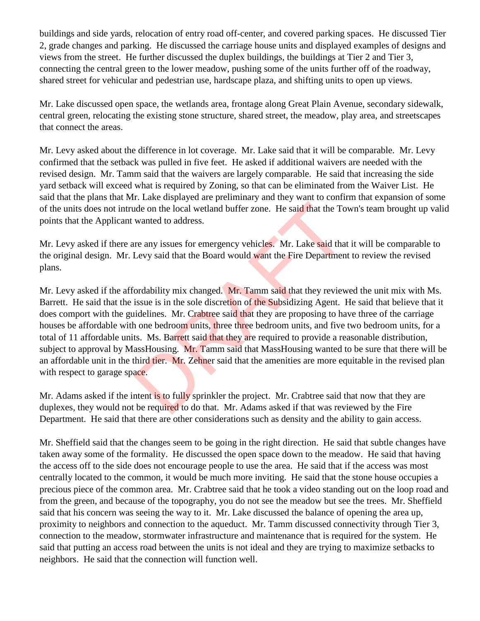buildings and side yards, relocation of entry road off-center, and covered parking spaces. He discussed Tier 2, grade changes and parking. He discussed the carriage house units and displayed examples of designs and views from the street. He further discussed the duplex buildings, the buildings at Tier 2 and Tier 3, connecting the central green to the lower meadow, pushing some of the units further off of the roadway, shared street for vehicular and pedestrian use, hardscape plaza, and shifting units to open up views.

Mr. Lake discussed open space, the wetlands area, frontage along Great Plain Avenue, secondary sidewalk, central green, relocating the existing stone structure, shared street, the meadow, play area, and streetscapes that connect the areas.

Mr. Levy asked about the difference in lot coverage. Mr. Lake said that it will be comparable. Mr. Levy confirmed that the setback was pulled in five feet. He asked if additional waivers are needed with the revised design. Mr. Tamm said that the waivers are largely comparable. He said that increasing the side yard setback will exceed what is required by Zoning, so that can be eliminated from the Waiver List. He said that the plans that Mr. Lake displayed are preliminary and they want to confirm that expansion of some of the units does not intrude on the local wetland buffer zone. He said that the Town's team brought up valid points that the Applicant wanted to address.

Mr. Levy asked if there are any issues for emergency vehicles. Mr. Lake said that it will be comparable to the original design. Mr. Levy said that the Board would want the Fire Department to review the revised plans.

Mr. Levy asked if the affordability mix changed. Mr. Tamm said that they reviewed the unit mix with Ms. Barrett. He said that the issue is in the sole discretion of the Subsidizing Agent. He said that believe that it does comport with the guidelines. Mr. Crabtree said that they are proposing to have three of the carriage houses be affordable with one bedroom units, three three bedroom units, and five two bedroom units, for a total of 11 affordable units. Ms. Barrett said that they are required to provide a reasonable distribution, subject to approval by MassHousing. Mr. Tamm said that MassHousing wanted to be sure that there will be an affordable unit in the third tier. Mr. Zehner said that the amenities are more equitable in the revised plan with respect to garage space. nde on the local wetland buffer zone. He said that the To<br>wanted to address.<br>The any issues for emergency vehicles. Mr. Lake said that<br>Levy said that the Board would want the Fire Departmen<br>fordability mix changed. Mr. Tam

Mr. Adams asked if the intent is to fully sprinkler the project. Mr. Crabtree said that now that they are duplexes, they would not be required to do that. Mr. Adams asked if that was reviewed by the Fire Department. He said that there are other considerations such as density and the ability to gain access.

Mr. Sheffield said that the changes seem to be going in the right direction. He said that subtle changes have taken away some of the formality. He discussed the open space down to the meadow. He said that having the access off to the side does not encourage people to use the area. He said that if the access was most centrally located to the common, it would be much more inviting. He said that the stone house occupies a precious piece of the common area. Mr. Crabtree said that he took a video standing out on the loop road and from the green, and because of the topography, you do not see the meadow but see the trees. Mr. Sheffield said that his concern was seeing the way to it. Mr. Lake discussed the balance of opening the area up, proximity to neighbors and connection to the aqueduct. Mr. Tamm discussed connectivity through Tier 3, connection to the meadow, stormwater infrastructure and maintenance that is required for the system. He said that putting an access road between the units is not ideal and they are trying to maximize setbacks to neighbors. He said that the connection will function well.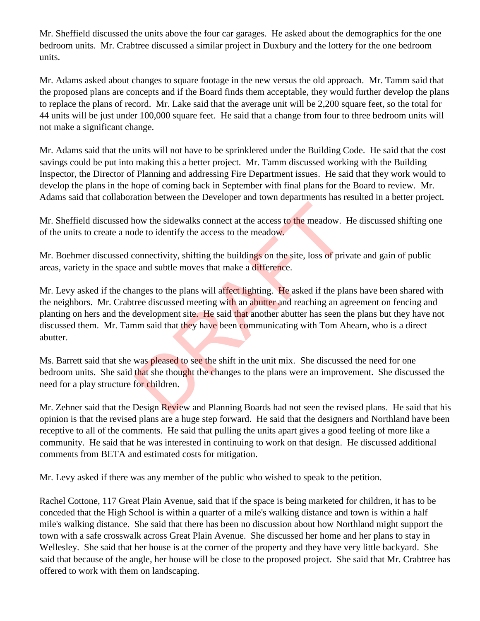Mr. Sheffield discussed the units above the four car garages. He asked about the demographics for the one bedroom units. Mr. Crabtree discussed a similar project in Duxbury and the lottery for the one bedroom units.

Mr. Adams asked about changes to square footage in the new versus the old approach. Mr. Tamm said that the proposed plans are concepts and if the Board finds them acceptable, they would further develop the plans to replace the plans of record. Mr. Lake said that the average unit will be 2,200 square feet, so the total for 44 units will be just under 100,000 square feet. He said that a change from four to three bedroom units will not make a significant change.

Mr. Adams said that the units will not have to be sprinklered under the Building Code. He said that the cost savings could be put into making this a better project. Mr. Tamm discussed working with the Building Inspector, the Director of Planning and addressing Fire Department issues. He said that they work would to develop the plans in the hope of coming back in September with final plans for the Board to review. Mr. Adams said that collaboration between the Developer and town departments has resulted in a better project.

Mr. Sheffield discussed how the sidewalks connect at the access to the meadow. He discussed shifting one of the units to create a node to identify the access to the meadow.

Mr. Boehmer discussed connectivity, shifting the buildings on the site, loss of private and gain of public areas, variety in the space and subtle moves that make a difference.

Mr. Levy asked if the changes to the plans will affect lighting. He asked if the plans have been shared with the neighbors. Mr. Crabtree discussed meeting with an abutter and reaching an agreement on fencing and planting on hers and the development site. He said that another abutter has seen the plans but they have not discussed them. Mr. Tamm said that they have been communicating with Tom Ahearn, who is a direct abutter. now the sidewalks connect at the access to the meadow. I<br>de to identify the access to the meadow.<br>connectivity, shifting the buildings on the site, loss of prive<br>and subtle moves that make a difference.<br>anges to the plans

Ms. Barrett said that she was pleased to see the shift in the unit mix. She discussed the need for one bedroom units. She said that she thought the changes to the plans were an improvement. She discussed the need for a play structure for children.

Mr. Zehner said that the Design Review and Planning Boards had not seen the revised plans. He said that his opinion is that the revised plans are a huge step forward. He said that the designers and Northland have been receptive to all of the comments. He said that pulling the units apart gives a good feeling of more like a community. He said that he was interested in continuing to work on that design. He discussed additional comments from BETA and estimated costs for mitigation.

Mr. Levy asked if there was any member of the public who wished to speak to the petition.

Rachel Cottone, 117 Great Plain Avenue, said that if the space is being marketed for children, it has to be conceded that the High School is within a quarter of a mile's walking distance and town is within a half mile's walking distance. She said that there has been no discussion about how Northland might support the town with a safe crosswalk across Great Plain Avenue. She discussed her home and her plans to stay in Wellesley. She said that her house is at the corner of the property and they have very little backyard. She said that because of the angle, her house will be close to the proposed project. She said that Mr. Crabtree has offered to work with them on landscaping.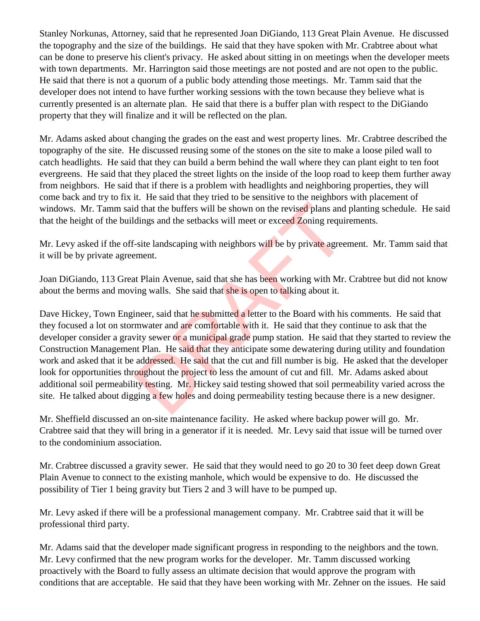Stanley Norkunas, Attorney, said that he represented Joan DiGiando, 113 Great Plain Avenue. He discussed the topography and the size of the buildings. He said that they have spoken with Mr. Crabtree about what can be done to preserve his client's privacy. He asked about sitting in on meetings when the developer meets with town departments. Mr. Harrington said those meetings are not posted and are not open to the public. He said that there is not a quorum of a public body attending those meetings. Mr. Tamm said that the developer does not intend to have further working sessions with the town because they believe what is currently presented is an alternate plan. He said that there is a buffer plan with respect to the DiGiando property that they will finalize and it will be reflected on the plan.

Mr. Adams asked about changing the grades on the east and west property lines. Mr. Crabtree described the topography of the site. He discussed reusing some of the stones on the site to make a loose piled wall to catch headlights. He said that they can build a berm behind the wall where they can plant eight to ten foot evergreens. He said that they placed the street lights on the inside of the loop road to keep them further away from neighbors. He said that if there is a problem with headlights and neighboring properties, they will come back and try to fix it. He said that they tried to be sensitive to the neighbors with placement of windows. Mr. Tamm said that the buffers will be shown on the revised plans and planting schedule. He said that the height of the buildings and the setbacks will meet or exceed Zoning requirements.

Mr. Levy asked if the off-site landscaping with neighbors will be by private agreement. Mr. Tamm said that it will be by private agreement.

Joan DiGiando, 113 Great Plain Avenue, said that she has been working with Mr. Crabtree but did not know about the berms and moving walls. She said that she is open to talking about it.

Dave Hickey, Town Engineer, said that he submitted a letter to the Board with his comments. He said that they focused a lot on stormwater and are comfortable with it. He said that they continue to ask that the developer consider a gravity sewer or a municipal grade pump station. He said that they started to review the Construction Management Plan. He said that they anticipate some dewatering during utility and foundation work and asked that it be addressed. He said that the cut and fill number is big. He asked that the developer look for opportunities throughout the project to less the amount of cut and fill. Mr. Adams asked about additional soil permeability testing. Mr. Hickey said testing showed that soil permeability varied across the site. He talked about digging a few holes and doing permeability testing because there is a new designer. d that the buffers will be shown on the revised plans and<br>dings and the setbacks will meet or exceed Zoning requin-<br>site landscaping with neighbors will be by private agree<br>ement.<br>the Plain Avenue, said that she has been w

Mr. Sheffield discussed an on-site maintenance facility. He asked where backup power will go. Mr. Crabtree said that they will bring in a generator if it is needed. Mr. Levy said that issue will be turned over to the condominium association.

Mr. Crabtree discussed a gravity sewer. He said that they would need to go 20 to 30 feet deep down Great Plain Avenue to connect to the existing manhole, which would be expensive to do. He discussed the possibility of Tier 1 being gravity but Tiers 2 and 3 will have to be pumped up.

Mr. Levy asked if there will be a professional management company. Mr. Crabtree said that it will be professional third party.

Mr. Adams said that the developer made significant progress in responding to the neighbors and the town. Mr. Levy confirmed that the new program works for the developer. Mr. Tamm discussed working proactively with the Board to fully assess an ultimate decision that would approve the program with conditions that are acceptable. He said that they have been working with Mr. Zehner on the issues. He said